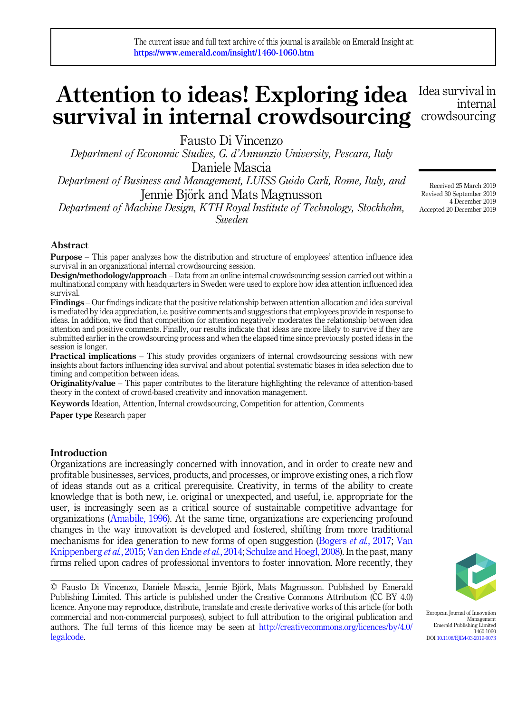## Attention to ideas! Exploring idea survival in internal crowdsourcing Idea survival in crowdsourcing

Fausto Di Vincenzo

Department of Economic Studies, G. d'Annunzio University, Pescara, Italy Daniele Mascia

Department of Business and Management, LUISS Guido Carli, Rome, Italy, and Jennie Biörk and Mats Magnusson

Department of Machine Design, KTH Royal Institute of Technology, Stockholm, Sweden

Abstract

Purpose – This paper analyzes how the distribution and structure of employees' attention influence idea survival in an organizational internal crowdsourcing session.

Design/methodology/approach – Data from an online internal crowdsourcing session carried out within a multinational company with headquarters in Sweden were used to explore how idea attention influenced idea survival.

Findings – Our findings indicate that the positive relationship between attention allocation and idea survival is mediated by idea appreciation, i.e. positive comments and suggestions that employees provide in response to ideas. In addition, we find that competition for attention negatively moderates the relationship between idea attention and positive comments. Finally, our results indicate that ideas are more likely to survive if they are submitted earlier in the crowdsourcing process and when the elapsed time since previously posted ideas in the session is longer.

Practical implications – This study provides organizers of internal crowdsourcing sessions with new insights about factors influencing idea survival and about potential systematic biases in idea selection due to timing and competition between ideas.

Originality/value – This paper contributes to the literature highlighting the relevance of attention-based theory in the context of crowd-based creativity and innovation management.

Keywords Ideation, Attention, Internal crowdsourcing, Competition for attention, Comments

Paper type Research paper

#### Introduction

Organizations are increasingly concerned with innovation, and in order to create new and profitable businesses, services, products, and processes, or improve existing ones, a rich flow of ideas stands out as a critical prerequisite. Creativity, in terms of the ability to create knowledge that is both new, i.e. original or unexpected, and useful, i.e. appropriate for the user, is increasingly seen as a critical source of sustainable competitive advantage for organizations [\(Amabile, 1996\)](#page-18-0). At the same time, organizations are experiencing profound changes in the way innovation is developed and fostered, shifting from more traditional mechanisms for idea generation to new forms of open suggestion [\(Bogers](#page-19-0) *et al.*, 2017; [Van](#page-21-0) [Knippenberg](#page-21-0) *et al.*, 2015; [Van den Ende](#page-21-0) *et al.*, 2014; [Schulze and Hoegl, 2008](#page-21-0)). In the past, many firms relied upon cadres of professional inventors to foster innovation. More recently, they

© Fausto Di Vincenzo, Daniele Mascia, Jennie Björk, Mats Magnusson. Published by Emerald Publishing Limited. This article is published under the Creative Commons Attribution (CC BY 4.0) licence. Anyone may reproduce, distribute, translate and create derivative works of this article (for both commercial and non-commercial purposes), subject to full attribution to the original publication and authors. The full terms of this licence may be seen at [http://creativecommons.org/licences/by/4.0/](http://creativecommons.org/licences/by/4.0/legalcode) [legalcode.](http://creativecommons.org/licences/by/4.0/legalcode)



European Journal of Innovation Management Emerald Publishing Limited 1460-1060 DOI [10.1108/EJIM-03-2019-0073](https://doi.org/10.1108/EJIM-03-2019-0073)

Received 25 March 2019 Revised 30 September 2019 4 December 2019 Accepted 20 December 2019

internal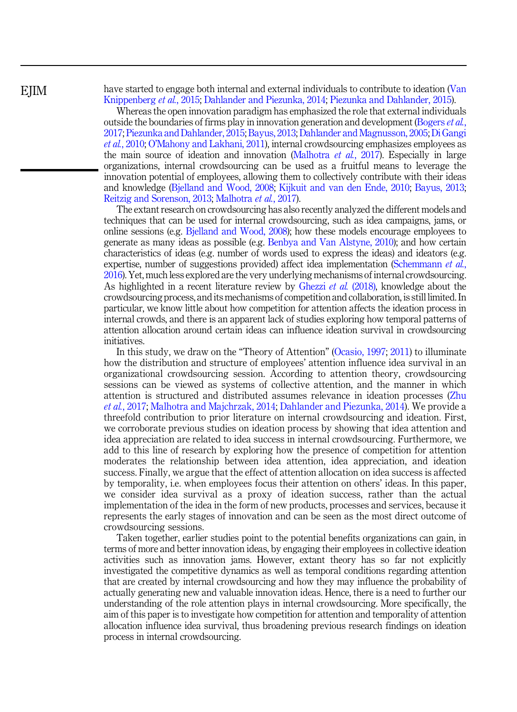have started to engage both internal and external individuals to contribute to ideation [\(Van](#page-21-0) [Knippenberg](#page-21-0) et al., 2015; [Dahlander and Piezunka, 2014;](#page-19-0) [Piezunka and Dahlander, 2015](#page-20-0)).

Whereas the open innovation paradigm has emphasized the role that external individuals outside the boundaries of firms play in innovation generation and development [\(Bogers](#page-19-0) et al., [2017;](#page-19-0) [Piezunka and Dahlander, 2015;](#page-20-0) [Bayus, 2013](#page-19-0); [Dahlander and Magnusson, 2005](#page-19-0);[Di Gangi](#page-19-0) et al.[, 2010;](#page-19-0) O'[Mahony and Lakhani, 2011\)](#page-20-0), internal crowdsourcing emphasizes employees as the main source of ideation and innovation [\(Malhotra](#page-20-0) *et al.*, 2017). Especially in large organizations, internal crowdsourcing can be used as a fruitful means to leverage the innovation potential of employees, allowing them to collectively contribute with their ideas and knowledge ([Bjelland and Wood, 2008](#page-19-0); [Kijkuit and van den Ende, 2010;](#page-20-0) [Bayus, 2013](#page-19-0); [Reitzig and Sorenson, 2013;](#page-21-0) [Malhotra](#page-20-0) et al., 2017).

The extant research on crowdsourcing has also recently analyzed the different models and techniques that can be used for internal crowdsourcing, such as idea campaigns, jams, or online sessions (e.g. [Bjelland and Wood, 2008](#page-19-0)); how these models encourage employees to generate as many ideas as possible (e.g. [Benbya and Van Alstyne, 2010\)](#page-19-0); and how certain characteristics of ideas (e.g. number of words used to express the ideas) and ideators (e.g. expertise, number of suggestions provided) affect idea implementation ([Schemmann](#page-21-0) *et al.*, [2016\)](#page-21-0). Yet, much less explored are the very underlying mechanisms of internal crowdsourcing. As highlighted in a recent literature review by [Ghezzi](#page-19-0) et al. (2018), knowledge about the crowdsourcing process, and its mechanisms of competition and collaboration, is still limited. In particular, we know little about how competition for attention affects the ideation process in internal crowds, and there is an apparent lack of studies exploring how temporal patterns of attention allocation around certain ideas can influence ideation survival in crowdsourcing initiatives.

In this study, we draw on the "Theory of Attention" [\(Ocasio, 1997](#page-20-0); [2011\)](#page-20-0) to illuminate how the distribution and structure of employees' attention influence idea survival in an organizational crowdsourcing session. According to attention theory, crowdsourcing sessions can be viewed as systems of collective attention, and the manner in which attention is structured and distributed assumes relevance in ideation processes ([Zhu](#page-21-0) et al.[, 2017;](#page-21-0) [Malhotra and Majchrzak, 2014](#page-20-0); [Dahlander and Piezunka, 2014](#page-19-0)). We provide a threefold contribution to prior literature on internal crowdsourcing and ideation. First, we corroborate previous studies on ideation process by showing that idea attention and idea appreciation are related to idea success in internal crowdsourcing. Furthermore, we add to this line of research by exploring how the presence of competition for attention moderates the relationship between idea attention, idea appreciation, and ideation success. Finally, we argue that the effect of attention allocation on idea success is affected by temporality, i.e. when employees focus their attention on others' ideas. In this paper, we consider idea survival as a proxy of ideation success, rather than the actual implementation of the idea in the form of new products, processes and services, because it represents the early stages of innovation and can be seen as the most direct outcome of crowdsourcing sessions.

Taken together, earlier studies point to the potential benefits organizations can gain, in terms of more and better innovation ideas, by engaging their employees in collective ideation activities such as innovation jams. However, extant theory has so far not explicitly investigated the competitive dynamics as well as temporal conditions regarding attention that are created by internal crowdsourcing and how they may influence the probability of actually generating new and valuable innovation ideas. Hence, there is a need to further our understanding of the role attention plays in internal crowdsourcing. More specifically, the aim of this paper is to investigate how competition for attention and temporality of attention allocation influence idea survival, thus broadening previous research findings on ideation process in internal crowdsourcing.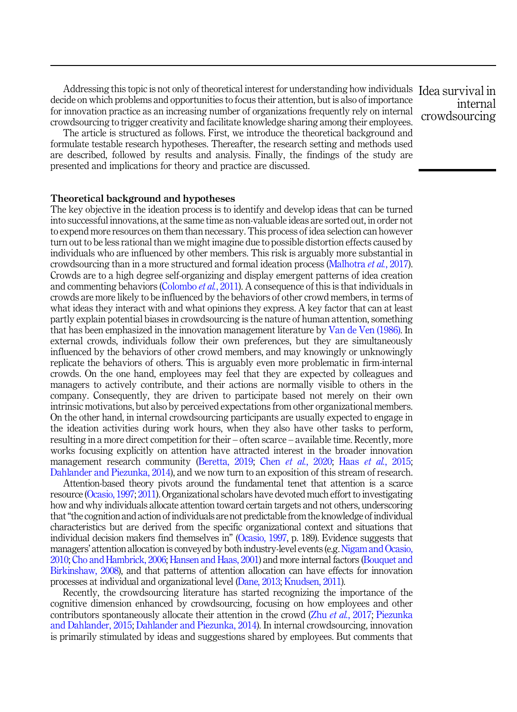Addressing this topic is not only of theoretical interest for understanding how individuals Idea survival in decide on which problems and opportunities to focus their attention, but is also of importance for innovation practice as an increasing number of organizations frequently rely on internal crowdsourcing to trigger creativity and facilitate knowledge sharing among their employees.

The article is structured as follows. First, we introduce the theoretical background and formulate testable research hypotheses. Thereafter, the research setting and methods used are described, followed by results and analysis. Finally, the findings of the study are presented and implications for theory and practice are discussed.

Theoretical background and hypotheses

The key objective in the ideation process is to identify and develop ideas that can be turned into successful innovations, at the same time as non-valuable ideas are sorted out, in order not to expend more resources on them than necessary. This process of idea selection can however turn out to be less rational than we might imagine due to possible distortion effects caused by individuals who are influenced by other members. This risk is arguably more substantial in crowdsourcing than in a more structured and formal ideation process [\(Malhotra](#page-20-0) et al., 2017). Crowds are to a high degree self-organizing and display emergent patterns of idea creation and commenting behaviors ([Colombo](#page-19-0) *et al.*, 2011). A consequence of this is that individuals in crowds are more likely to be influenced by the behaviors of other crowd members, in terms of what ideas they interact with and what opinions they express. A key factor that can at least partly explain potential biases in crowdsourcing is the nature of human attention, something that has been emphasized in the innovation management literature by [Van de Ven \(1986\)](#page-21-0). In external crowds, individuals follow their own preferences, but they are simultaneously influenced by the behaviors of other crowd members, and may knowingly or unknowingly replicate the behaviors of others. This is arguably even more problematic in firm-internal crowds. On the one hand, employees may feel that they are expected by colleagues and managers to actively contribute, and their actions are normally visible to others in the company. Consequently, they are driven to participate based not merely on their own intrinsic motivations, but also by perceived expectations from other organizational members. On the other hand, in internal crowdsourcing participants are usually expected to engage in the ideation activities during work hours, when they also have other tasks to perform, resulting in a more direct competition for their – often scarce – available time. Recently, more works focusing explicitly on attention have attracted interest in the broader innovation management research community ([Beretta, 2019;](#page-19-0) Chen et al.[, 2020;](#page-19-0) Haas et al.[, 2015](#page-20-0); [Dahlander and Piezunka, 2014\)](#page-19-0), and we now turn to an exposition of this stream of research.

Attention-based theory pivots around the fundamental tenet that attention is a scarce resource [\(Ocasio, 1997](#page-20-0); [2011\)](#page-20-0). Organizational scholars have devoted much effort to investigating how and why individuals allocate attention toward certain targets and not others, underscoring that"the cognition and action of individuals are not predictable from the knowledge of individual characteristics but are derived from the specific organizational context and situations that individual decision makers find themselves in" [\(Ocasio, 1997,](#page-20-0) p. 189). Evidence suggests that managers' attention allocation is conveyed by both industry-level events (e.g.[Nigam and Ocasio,](#page-20-0) [2010](#page-20-0); [Cho and Hambrick, 2006;](#page-19-0) [Hansen and Haas, 2001](#page-20-0)) and more internal factors [\(Bouquet and](#page-19-0) [Birkinshaw, 2008](#page-19-0)), and that patterns of attention allocation can have effects for innovation processes at individual and organizational level [\(Dane, 2013](#page-19-0); [Knudsen, 2011\)](#page-20-0).

Recently, the crowdsourcing literature has started recognizing the importance of the cognitive dimension enhanced by crowdsourcing, focusing on how employees and other contributors spontaneously allocate their attention in the crowd (Zhu *et al.*[, 2017;](#page-21-0) [Piezunka](#page-20-0) [and Dahlander, 2015](#page-20-0); [Dahlander and Piezunka, 2014](#page-19-0)). In internal crowdsourcing, innovation is primarily stimulated by ideas and suggestions shared by employees. But comments that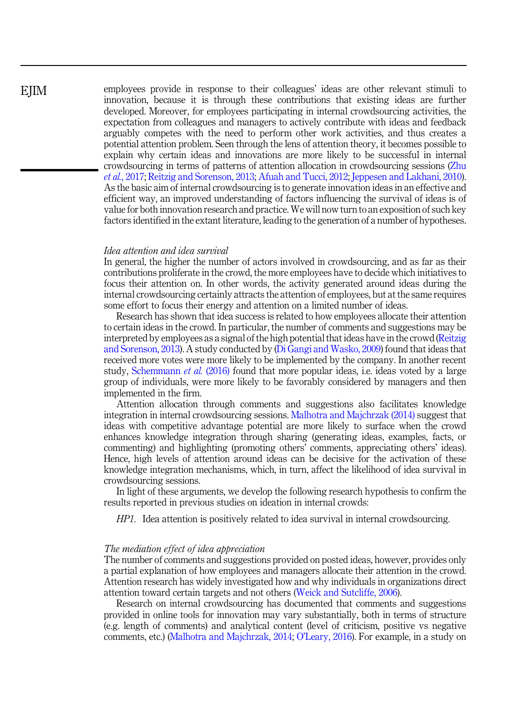<span id="page-3-0"></span>employees provide in response to their colleagues' ideas are other relevant stimuli to innovation, because it is through these contributions that existing ideas are further developed. Moreover, for employees participating in internal crowdsourcing activities, the expectation from colleagues and managers to actively contribute with ideas and feedback arguably competes with the need to perform other work activities, and thus creates a potential attention problem. Seen through the lens of attention theory, it becomes possible to explain why certain ideas and innovations are more likely to be successful in internal crowdsourcing in terms of patterns of attention allocation in crowdsourcing sessions ([Zhu](#page-21-0) et al.[, 2017;](#page-21-0) [Reitzig and Sorenson, 2013;](#page-21-0) [Afuah and Tucci, 2012](#page-18-0); [Jeppesen and Lakhani, 2010\)](#page-20-0). As the basic aim of internal crowdsourcing is to generate innovation ideas in an effective and efficient way, an improved understanding of factors influencing the survival of ideas is of value for both innovation research and practice. We will now turn to an exposition of such key factors identified in the extant literature, leading to the generation of a number of hypotheses.

## Idea attention and idea survival

In general, the higher the number of actors involved in crowdsourcing, and as far as their contributions proliferate in the crowd, the more employees have to decide which initiatives to focus their attention on. In other words, the activity generated around ideas during the internal crowdsourcing certainly attracts the attention of employees, but at the same requires some effort to focus their energy and attention on a limited number of ideas.

Research has shown that idea success is related to how employees allocate their attention to certain ideas in the crowd. In particular, the number of comments and suggestions may be interpreted by employees as a signal of the high potential that ideas have in the crowd ([Reitzig](#page-21-0) [and Sorenson, 2013\)](#page-21-0). A study conducted by [\(Di Gangi and Wasko, 2009](#page-19-0)) found that ideas that received more votes were more likely to be implemented by the company. In another recent study, [Schemmann](#page-21-0) *et al.* (2016) found that more popular ideas, i.e. ideas voted by a large group of individuals, were more likely to be favorably considered by managers and then implemented in the firm.

Attention allocation through comments and suggestions also facilitates knowledge integration in internal crowdsourcing sessions. [Malhotra and Majchrzak \(2014\)](#page-20-0) suggest that ideas with competitive advantage potential are more likely to surface when the crowd enhances knowledge integration through sharing (generating ideas, examples, facts, or commenting) and highlighting (promoting others' comments, appreciating others' ideas). Hence, high levels of attention around ideas can be decisive for the activation of these knowledge integration mechanisms, which, in turn, affect the likelihood of idea survival in crowdsourcing sessions.

In light of these arguments, we develop the following research hypothesis to confirm the results reported in previous studies on ideation in internal crowds:

HP1. Idea attention is positively related to idea survival in internal crowdsourcing.

#### The mediation effect of idea appreciation

The number of comments and suggestions provided on posted ideas, however, provides only a partial explanation of how employees and managers allocate their attention in the crowd. Attention research has widely investigated how and why individuals in organizations direct attention toward certain targets and not others ([Weick and Sutcliffe, 2006](#page-21-0)).

Research on internal crowdsourcing has documented that comments and suggestions provided in online tools for innovation may vary substantially, both in terms of structure (e.g. length of comments) and analytical content (level of criticism, positive vs negative comments, etc.) [\(Malhotra and Majchrzak, 2014;](#page-20-0) O'[Leary, 2016\)](#page-20-0). For example, in a study on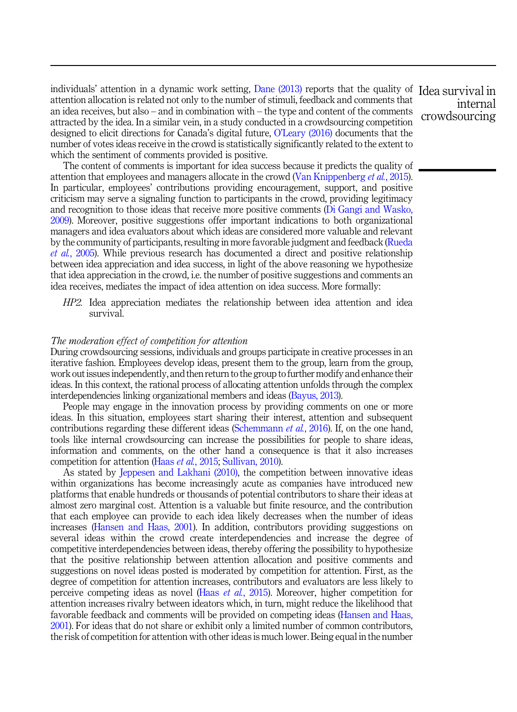<span id="page-4-0"></span>individuals' attention in a dynamic work setting, [Dane \(2013\)](#page-19-0) reports that the quality of Idea survival in attention allocation is related not only to the number of stimuli, feedback and comments that an idea receives, but also – and in combination with – the type and content of the comments attracted by the idea. In a similar vein, in a study conducted in a crowdsourcing competition designed to elicit directions for Canada's digital future, O'[Leary \(2016\)](#page-20-0) documents that the number of votes ideas receive in the crowd is statistically significantly related to the extent to which the sentiment of comments provided is positive.

The content of comments is important for idea success because it predicts the quality of attention that employees and managers allocate in the crowd ([Van Knippenberg](#page-21-0) et al., 2015). In particular, employees' contributions providing encouragement, support, and positive criticism may serve a signaling function to participants in the crowd, providing legitimacy and recognition to those ideas that receive more positive comments [\(Di Gangi and Wasko,](#page-19-0) [2009\)](#page-19-0). Moreover, positive suggestions offer important indications to both organizational managers and idea evaluators about which ideas are considered more valuable and relevant by the community of participants, resulting in more favorable judgment and feedback ([Rueda](#page-21-0) et al.[, 2005](#page-21-0)). While previous research has documented a direct and positive relationship between idea appreciation and idea success, in light of the above reasoning we hypothesize that idea appreciation in the crowd, i.e. the number of positive suggestions and comments an idea receives, mediates the impact of idea attention on idea success. More formally:

HP2. Idea appreciation mediates the relationship between idea attention and idea survival.

#### The moderation effect of competition for attention

During crowdsourcing sessions, individuals and groups participate in creative processes in an iterative fashion. Employees develop ideas, present them to the group, learn from the group, work out issues independently, and then return to the group to further modify and enhance their ideas. In this context, the rational process of allocating attention unfolds through the complex interdependencies linking organizational members and ideas ([Bayus, 2013\)](#page-19-0).

People may engage in the innovation process by providing comments on one or more ideas. In this situation, employees start sharing their interest, attention and subsequent contributions regarding these different ideas ([Schemmann](#page-21-0) *et al.*, 2016). If, on the one hand, tools like internal crowdsourcing can increase the possibilities for people to share ideas, information and comments, on the other hand a consequence is that it also increases competition for attention (Haas et al.[, 2015](#page-20-0); [Sullivan, 2010\)](#page-21-0).

As stated by [Jeppesen and Lakhani \(2010\),](#page-20-0) the competition between innovative ideas within organizations has become increasingly acute as companies have introduced new platforms that enable hundreds or thousands of potential contributors to share their ideas at almost zero marginal cost. Attention is a valuable but finite resource, and the contribution that each employee can provide to each idea likely decreases when the number of ideas increases ([Hansen and Haas, 2001](#page-20-0)). In addition, contributors providing suggestions on several ideas within the crowd create interdependencies and increase the degree of competitive interdependencies between ideas, thereby offering the possibility to hypothesize that the positive relationship between attention allocation and positive comments and suggestions on novel ideas posted is moderated by competition for attention. First, as the degree of competition for attention increases, contributors and evaluators are less likely to perceive competing ideas as novel (Haas et al.[, 2015\)](#page-20-0). Moreover, higher competition for attention increases rivalry between ideators which, in turn, might reduce the likelihood that favorable feedback and comments will be provided on competing ideas [\(Hansen and Haas,](#page-20-0) [2001\)](#page-20-0). For ideas that do not share or exhibit only a limited number of common contributors, the risk of competition for attention with other ideas is much lower. Being equal in the number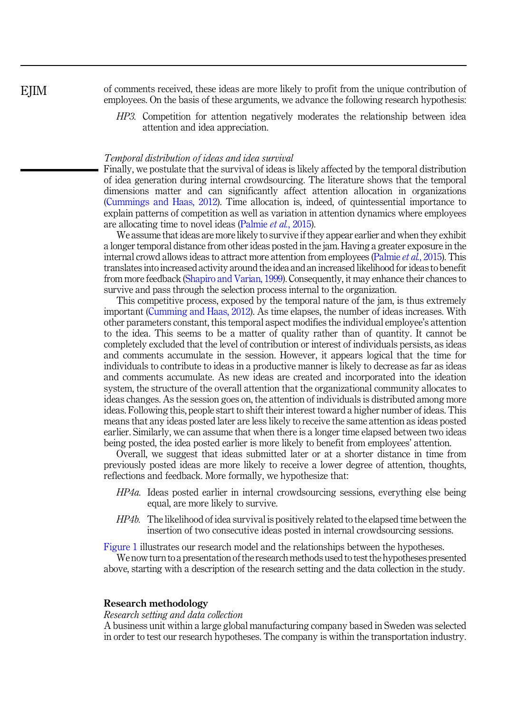<span id="page-5-0"></span>**E**IIM

of comments received, these ideas are more likely to profit from the unique contribution of employees. On the basis of these arguments, we advance the following research hypothesis:

HP3. Competition for attention negatively moderates the relationship between idea attention and idea appreciation.

#### Temporal distribution of ideas and idea survival

Finally, we postulate that the survival of ideas is likely affected by the temporal distribution of idea generation during internal crowdsourcing. The literature shows that the temporal dimensions matter and can significantly affect attention allocation in organizations ([Cummings and Haas, 2012](#page-19-0)). Time allocation is, indeed, of quintessential importance to explain patterns of competition as well as variation in attention dynamics where employees are allocating time to novel ideas [\(Palmie](#page-20-0) et al., 2015).

We assume that ideas are more likely to survive if they appear earlier and when they exhibit a longer temporal distance from other ideas posted in the jam. Having a greater exposure in the internal crowd allows ideas to attract more attention from employees ([Palmie](#page-20-0) *et al.*, 2015). This translates into increased activity around the idea and an increased likelihood for ideas to benefit from more feedback ([Shapiro and Varian, 1999\)](#page-21-0). Consequently, it may enhance their chances to survive and pass through the selection process internal to the organization.

This competitive process, exposed by the temporal nature of the jam, is thus extremely important ([Cumming and Haas, 2012\)](#page-19-0). As time elapses, the number of ideas increases. With other parameters constant, this temporal aspect modifies the individual employee's attention to the idea. This seems to be a matter of quality rather than of quantity. It cannot be completely excluded that the level of contribution or interest of individuals persists, as ideas and comments accumulate in the session. However, it appears logical that the time for individuals to contribute to ideas in a productive manner is likely to decrease as far as ideas and comments accumulate. As new ideas are created and incorporated into the ideation system, the structure of the overall attention that the organizational community allocates to ideas changes. As the session goes on, the attention of individuals is distributed among more ideas. Following this, people start to shift their interest toward a higher number of ideas. This means that any ideas posted later are less likely to receive the same attention as ideas posted earlier. Similarly, we can assume that when there is a longer time elapsed between two ideas being posted, the idea posted earlier is more likely to benefit from employees' attention.

Overall, we suggest that ideas submitted later or at a shorter distance in time from previously posted ideas are more likely to receive a lower degree of attention, thoughts, reflections and feedback. More formally, we hypothesize that:

- HP4a. Ideas posted earlier in internal crowdsourcing sessions, everything else being equal, are more likely to survive.
- HP4b. The likelihood of idea survival is positively related to the elapsed time between the insertion of two consecutive ideas posted in internal crowdsourcing sessions.

[Figure 1](#page-6-0) illustrates our research model and the relationships between the hypotheses.

We now turn to a presentation of the research methods used to test the hypotheses presented above, starting with a description of the research setting and the data collection in the study.

## Research methodology

Research setting and data collection

A business unit within a large global manufacturing company based in Sweden was selected in order to test our research hypotheses. The company is within the transportation industry.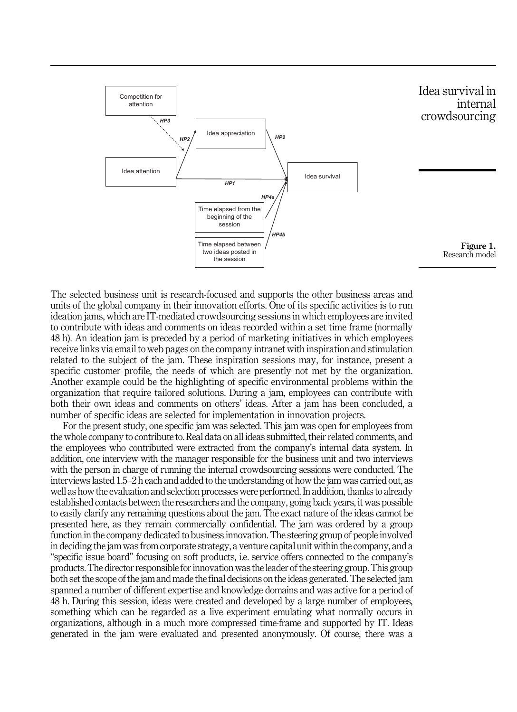<span id="page-6-0"></span>

The selected business unit is research-focused and supports the other business areas and units of the global company in their innovation efforts. One of its specific activities is to run ideation jams, which are IT-mediated crowdsourcing sessions in which employees are invited to contribute with ideas and comments on ideas recorded within a set time frame (normally 48 h). An ideation jam is preceded by a period of marketing initiatives in which employees receive links via email to web pages on the company intranet with inspiration and stimulation related to the subject of the jam. These inspiration sessions may, for instance, present a specific customer profile, the needs of which are presently not met by the organization. Another example could be the highlighting of specific environmental problems within the organization that require tailored solutions. During a jam, employees can contribute with both their own ideas and comments on others' ideas. After a jam has been concluded, a number of specific ideas are selected for implementation in innovation projects.

For the present study, one specific jam was selected. This jam was open for employees from the whole company to contribute to. Real data on all ideas submitted, their related comments, and the employees who contributed were extracted from the company's internal data system. In addition, one interview with the manager responsible for the business unit and two interviews with the person in charge of running the internal crowdsourcing sessions were conducted. The interviews lasted 1.5–2 h each and added to the understanding of how the jam was carried out, as well as how the evaluation and selection processes were performed. In addition, thanks to already established contacts between the researchers and the company, going back years, it was possible to easily clarify any remaining questions about the jam. The exact nature of the ideas cannot be presented here, as they remain commercially confidential. The jam was ordered by a group function in the company dedicated to business innovation. The steering group of people involved in deciding the jam was from corporate strategy, a venture capital unit within the company, and a "specific issue board" focusing on soft products, i.e. service offers connected to the company's products. The director responsible for innovation was the leader of the steering group. This group both set the scope of the jam and made the final decisions on the ideas generated. The selected jam spanned a number of different expertise and knowledge domains and was active for a period of 48 h. During this session, ideas were created and developed by a large number of employees, something which can be regarded as a live experiment emulating what normally occurs in organizations, although in a much more compressed time-frame and supported by IT. Ideas generated in the jam were evaluated and presented anonymously. Of course, there was a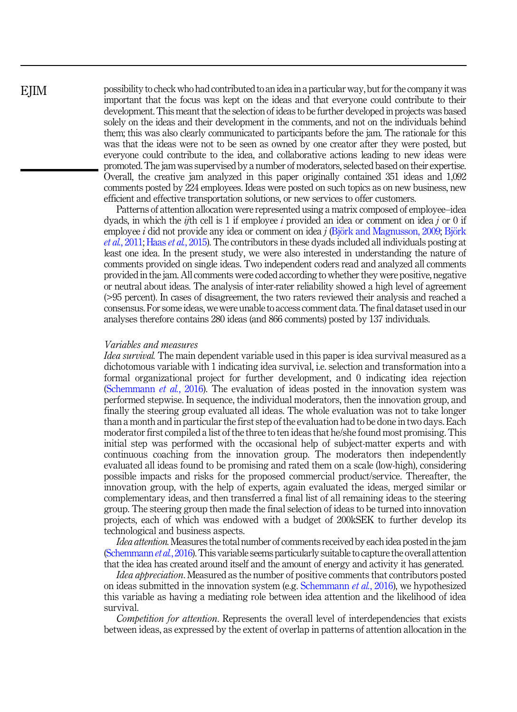possibility to check who had contributed to an idea in a particular way, but for the company it was important that the focus was kept on the ideas and that everyone could contribute to their development. This meant that the selection of ideas to be further developed in projects was based solely on the ideas and their development in the comments, and not on the individuals behind them; this was also clearly communicated to participants before the jam. The rationale for this was that the ideas were not to be seen as owned by one creator after they were posted, but everyone could contribute to the idea, and collaborative actions leading to new ideas were promoted. The jam was supervised by a number of moderators, selected based on their expertise. Overall, the creative jam analyzed in this paper originally contained 351 ideas and 1,092 comments posted by 224 employees. Ideas were posted on such topics as on new business, new efficient and effective transportation solutions, or new services to offer customers.

Patterns of attention allocation were represented using a matrix composed of employee–idea dyads, in which the *ij*th cell is 1 if employee *i* provided an idea or comment on idea *i* or 0 if employee i did not provide any idea or comment on idea j ([Bj](#page-19-0)ö[rk and Magnusson, 2009](#page-19-0); Bjö[rk](#page-19-0) et al.[, 2011](#page-19-0); Haas et al.[, 2015\)](#page-20-0). The contributors in these dyads included all individuals posting at least one idea. In the present study, we were also interested in understanding the nature of comments provided on single ideas. Two independent coders read and analyzed all comments provided in the jam. All comments were coded according to whether they were positive, negative or neutral about ideas. The analysis of inter-rater reliability showed a high level of agreement (>95 percent). In cases of disagreement, the two raters reviewed their analysis and reached a consensus. For some ideas, we were unable to access comment data. The final dataset used in our analyses therefore contains 280 ideas (and 866 comments) posted by 137 individuals.

#### Variables and measures

Idea survival. The main dependent variable used in this paper is idea survival measured as a dichotomous variable with 1 indicating idea survival, i.e. selection and transformation into a formal organizational project for further development, and 0 indicating idea rejection ([Schemmann](#page-21-0) *et al.*, 2016). The evaluation of ideas posted in the innovation system was performed stepwise. In sequence, the individual moderators, then the innovation group, and finally the steering group evaluated all ideas. The whole evaluation was not to take longer than a month and in particular the first step of the evaluation had to be done in two days. Each moderator first compiled a list of the three to ten ideas that he/she found most promising. This initial step was performed with the occasional help of subject-matter experts and with continuous coaching from the innovation group. The moderators then independently evaluated all ideas found to be promising and rated them on a scale (low-high), considering possible impacts and risks for the proposed commercial product/service. Thereafter, the innovation group, with the help of experts, again evaluated the ideas, merged similar or complementary ideas, and then transferred a final list of all remaining ideas to the steering group. The steering group then made the final selection of ideas to be turned into innovation projects, each of which was endowed with a budget of 200kSEK to further develop its technological and business aspects.

Idea attention. Measures the total number of comments received by each idea posted in the jam [\(Schemmann](#page-21-0) *et al.*, 2016). This variable seems particularly suitable to capture the overall attention that the idea has created around itself and the amount of energy and activity it has generated.

Idea appreciation. Measured as the number of positive comments that contributors posted on ideas submitted in the innovation system (e.g. [Schemmann](#page-21-0) *et al.*, 2016), we hypothesized this variable as having a mediating role between idea attention and the likelihood of idea survival.

Competition for attention. Represents the overall level of interdependencies that exists between ideas, as expressed by the extent of overlap in patterns of attention allocation in the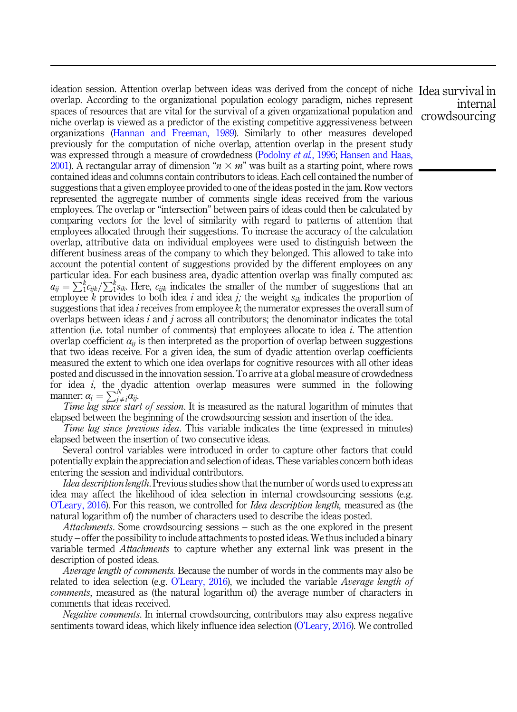ideation session. Attention overlap between ideas was derived from the concept of niche Idea survival in overlap. According to the organizational population ecology paradigm, niches represent spaces of resources that are vital for the survival of a given organizational population and niche overlap is viewed as a predictor of the existing competitive aggressiveness between organizations [\(Hannan and Freeman, 1989\)](#page-20-0). Similarly to other measures developed previously for the computation of niche overlap, attention overlap in the present study was expressed through a measure of crowdedness [\(Podolny](#page-20-0) *et al.*, 1996; [Hansen and Haas,](#page-20-0) [2001\)](#page-20-0). A rectangular array of dimension " $n \times m$ " was built as a starting point, where rows contained ideas and columns contain contributors to ideas. Each cell contained the number of suggestions that a given employee provided to one of the ideas posted in the jam. Row vectors represented the aggregate number of comments single ideas received from the various employees. The overlap or "intersection" between pairs of ideas could then be calculated by comparing vectors for the level of similarity with regard to patterns of attention that employees allocated through their suggestions. To increase the accuracy of the calculation overlap, attributive data on individual employees were used to distinguish between the different business areas of the company to which they belonged. This allowed to take into account the potential content of suggestions provided by the different employees on any particular idea. For each business area, dyadic attention overlap was finally computed as:  $a_{ij} = \sum_{i}^{k} c_{ijk} / \sum_{i}^{k} s_{ik}$ . Here,  $c_{ijk}$  indicates the smaller of the number of suggestions that an employee k provides to both idea i and idea j; the weight  $s_{ik}$  indicates the proportion of suggestions that idea i receives from employee  $k$ ; the numerator expresses the overall sum of overlaps between ideas  $i$  and  $j$  across all contributors; the denominator indicates the total attention (i.e. total number of comments) that employees allocate to idea  $i$ . The attention overlap coefficient  $\alpha_{ii}$  is then interpreted as the proportion of overlap between suggestions that two ideas receive. For a given idea, the sum of dyadic attention overlap coefficients measured the extent to which one idea overlaps for cognitive resources with all other ideas posted and discussed in the innovation session. To arrive at a global measure of crowdedness for idea *i*, the dyadic attention overlap measures were summed in the following manner:  $\alpha_i = \sum_{j \neq i}^{N} \alpha_{ij}$ .

Time lag since start of session. It is measured as the natural logarithm of minutes that elapsed between the beginning of the crowdsourcing session and insertion of the idea.

Time lag since previous idea. This variable indicates the time (expressed in minutes) elapsed between the insertion of two consecutive ideas.

Several control variables were introduced in order to capture other factors that could potentially explain the appreciation and selection of ideas. These variables concern both ideas entering the session and individual contributors.

Idea description length. Previous studies show that the number of words used to express an idea may affect the likelihood of idea selection in internal crowdsourcing sessions (e.g. O'[Leary, 2016\)](#page-20-0). For this reason, we controlled for *Idea description length*, measured as (the natural logarithm of) the number of characters used to describe the ideas posted.

Attachments. Some crowdsourcing sessions – such as the one explored in the present study – offer the possibility to include attachments to posted ideas. We thus included a binary variable termed Attachments to capture whether any external link was present in the description of posted ideas.

Average length of comments. Because the number of words in the comments may also be related to idea selection (e.g. O'[Leary, 2016](#page-20-0)), we included the variable *Average length of* comments, measured as (the natural logarithm of) the average number of characters in comments that ideas received.

Negative comments. In internal crowdsourcing, contributors may also express negative sentiments toward ideas, which likely influence idea selection (O'[Leary, 2016](#page-20-0)). We controlled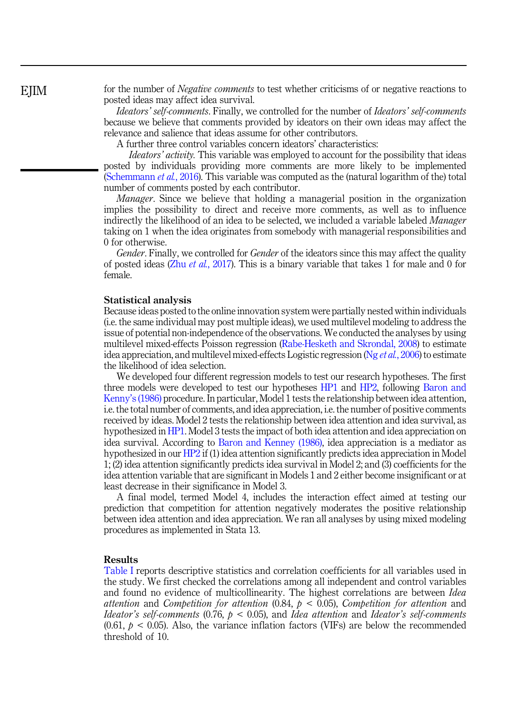for the number of *Negative comments* to test whether criticisms of or negative reactions to posted ideas may affect idea survival.

Ideators' self-comments. Finally, we controlled for the number of Ideators' self-comments because we believe that comments provided by ideators on their own ideas may affect the relevance and salience that ideas assume for other contributors.

A further three control variables concern ideators' characteristics:

Ideators' activity. This variable was employed to account for the possibility that ideas posted by individuals providing more comments are more likely to be implemented ([Schemmann](#page-21-0) *et al.*, 2016). This variable was computed as the (natural logarithm of the) total number of comments posted by each contributor.

*Manager*. Since we believe that holding a managerial position in the organization implies the possibility to direct and receive more comments, as well as to influence indirectly the likelihood of an idea to be selected, we included a variable labeled *Manager* taking on 1 when the idea originates from somebody with managerial responsibilities and 0 for otherwise.

Gender. Finally, we controlled for *Gender* of the ideators since this may affect the quality of posted ideas (Zhu *et al.*[, 2017\)](#page-21-0). This is a binary variable that takes 1 for male and 0 for female.

#### Statistical analysis

Because ideas posted to the online innovation system were partially nested within individuals (i.e. the same individual may post multiple ideas), we used multilevel modeling to address the issue of potential non-independence of the observations. We conducted the analyses by using multilevel mixed-effects Poisson regression [\(Rabe-Hesketh and Skrondal, 2008](#page-20-0)) to estimate idea appreciation, and multilevel mixed-effects Logistic regression ( $Ng \text{ et } al$ [, 2006](#page-20-0)) to estimate the likelihood of idea selection.

We developed four different regression models to test our research hypotheses. The first three models were developed to test our hypotheses [HP1](#page-3-0) and [HP2,](#page-4-0) following [Baron and](#page-18-0) Kenny'[s \(1986\)](#page-18-0) procedure. In particular, Model 1 tests the relationship between idea attention, i.e. the total number of comments, and idea appreciation, i.e. the number of positive comments received by ideas. Model 2 tests the relationship between idea attention and idea survival, as hypothesized in [HP1](#page-3-0). Model 3 tests the impact of both idea attention and idea appreciation on idea survival. According to [Baron and Kenney \(1986\)](#page-18-0), idea appreciation is a mediator as hypothesized in our [HP2](#page-4-0) if (1) idea attention significantly predicts idea appreciation in Model 1; (2) idea attention significantly predicts idea survival in Model 2; and (3) coefficients for the idea attention variable that are significant in Models 1 and 2 either become insignificant or at least decrease in their significance in Model 3.

A final model, termed Model 4, includes the interaction effect aimed at testing our prediction that competition for attention negatively moderates the positive relationship between idea attention and idea appreciation. We ran all analyses by using mixed modeling procedures as implemented in Stata 13.

#### Results

[Table I](#page-10-0) reports descriptive statistics and correlation coefficients for all variables used in the study. We first checked the correlations among all independent and control variables and found no evidence of multicollinearity. The highest correlations are between Idea attention and Competition for attention  $(0.84, p < 0.05)$ , Competition for attention and Ideator's self-comments (0.76,  $p < 0.05$ ), and Idea attention and Ideator's self-comments  $(0.61, p < 0.05)$ . Also, the variance inflation factors (VIFs) are below the recommended threshold of 10.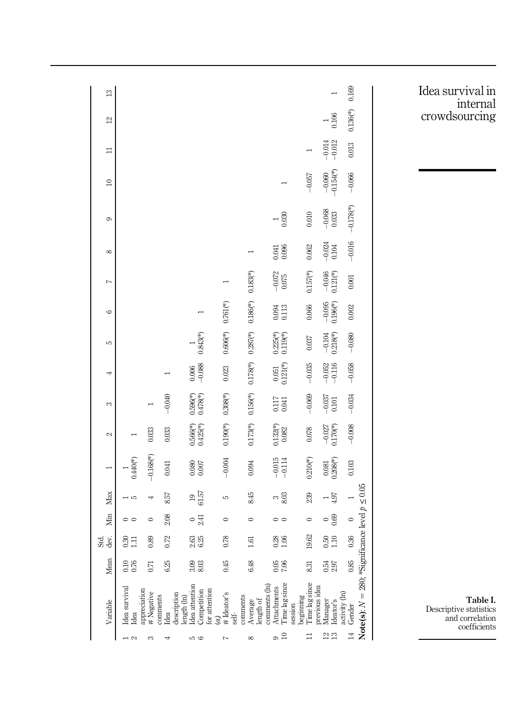<span id="page-10-0"></span>

| $\mathbf{r}$               |                                       |                         |                  |                                                                              |                                 |                                  |                                                           |                                              |                                                | 0.169                                                                            | Idea survival in<br>internal                                          |
|----------------------------|---------------------------------------|-------------------------|------------------|------------------------------------------------------------------------------|---------------------------------|----------------------------------|-----------------------------------------------------------|----------------------------------------------|------------------------------------------------|----------------------------------------------------------------------------------|-----------------------------------------------------------------------|
| $\mathfrak{p}$             |                                       |                         |                  |                                                                              |                                 |                                  |                                                           |                                              | 0.106<br>Η                                     | $0.136$ <sup>(*)</sup>                                                           | crowdsourcing                                                         |
| $\Box$                     |                                       |                         |                  |                                                                              |                                 |                                  |                                                           |                                              | $-0.014$<br>$-0.012$                           | 0.013                                                                            |                                                                       |
| $\square$                  |                                       |                         |                  |                                                                              |                                 |                                  |                                                           | $-0.057$                                     | $-0.060$<br>$-0.154$ (*)                       | $-0.066$                                                                         |                                                                       |
| G                          |                                       |                         |                  |                                                                              |                                 |                                  | 0.030                                                     | 0.010                                        | $-0.068$<br>0.033                              | $-0.178$ <sup>(*)</sup>                                                          |                                                                       |
| ${}^{\circ}$               |                                       |                         |                  |                                                                              |                                 | $\overline{\phantom{0}}$         | $0.041$<br>$0.096$                                        | 0.062                                        | $\begin{array}{c} -0.024 \\ 0.104 \end{array}$ | $-0.016$                                                                         |                                                                       |
| $\overline{ }$             |                                       |                         |                  |                                                                              |                                 | $0.183$ <sup>*</sup> )           | $\frac{-0.072}{0.075}$                                    | $0.157$ <sup>(*)</sup>                       | $-0.046$<br>0.121(*)                           | $\,0.001$                                                                        |                                                                       |
| G                          |                                       |                         |                  |                                                                              | $0.761$ (*)                     | $0.186$ <sup>(*)</sup> )         | $0.094$<br>$0.113$                                        | 0.066                                        | $-0.095$<br>0.196(*)                           | 0.002                                                                            |                                                                       |
| Б                          |                                       |                         |                  | $0.843$ <sup>(*)</sup>                                                       | $0.606$ <sup>(*)</sup>          | $0.287$ (*)                      | $0.225$ (*)<br>$0.119$ (*)                                | 0.037                                        | $-0.104$<br>0.218(*)                           | $-0.080$                                                                         |                                                                       |
| 4                          |                                       |                         |                  | $\frac{0.006}{-0.088}$                                                       | $0.023\,$                       | $0.178$ <sup>(*)</sup>           | $0.051$<br>$0.121$ (*)                                    | $-0.035$                                     | $-0.052$<br>$-0.116$                           | $-0.058$                                                                         |                                                                       |
| S                          |                                       |                         | $-0.040$         | $0.596$ (*)<br>$0.478$ (*)                                                   | $0.308$ <sup>(*)</sup>          | $0.156$ (*)                      | $0.117$<br>0.041                                          | $-0.069$                                     | $\begin{array}{c} -0.037 \\ 0.101 \end{array}$ | $-0.034$                                                                         |                                                                       |
| $\mathcal{L}$              |                                       | 0.033                   | 0.033            | $0.566$ (*)<br>$0.425$ (*)                                                   | $0.190$ <sup>(*)</sup>          | $0.173$ <sup>(*)</sup>           | $0.132$ (*)<br>$0.082$                                    | 0.078                                        | $-0.027$<br>0.170(*)                           | $-0.008$                                                                         |                                                                       |
| Η                          | $0.440$ (*)                           | $-0.168$ <sup>(*)</sup> | 0.041            | $0.080$<br>$0.007$                                                           | $-0.004$                        | 0.094                            | $-0.015$<br>$-0.114$                                      | $0.210 (\%)$                                 | $0.081$<br>$0.208$ (*)                         | $0.103\,$                                                                        |                                                                       |
| Max                        | $\overline{5}$                        | 4                       | 8.57             | $\begin{array}{c} 19 \\ 61.57 \end{array}$                                   | S                               | 8.45                             | $\frac{3}{8}$                                             | 239                                          | $\frac{1}{4.97}$                               |                                                                                  |                                                                       |
| Min                        | $\circ$                               | $\circ$                 | 2.08             | $rac{1}{241}$                                                                | $\circ$                         | $\circ$                          | $\circ$                                                   | $\circ$                                      | $\frac{6}{6}$                                  | $\circ$                                                                          |                                                                       |
| $\operatorname*{Std}$ dev. | $0.30$<br>1.11                        | 0.89                    | 0.72             | $\begin{array}{c} 2.63 \\ 6.25 \end{array}$                                  | 0.78                            | $\overline{6}$                   | $\frac{8}{10}$                                            | 19.62                                        | 50 <sub>10</sub>                               | 0.36                                                                             |                                                                       |
| Mean                       | $0.10$<br>$0.76$                      | 0.71                    | 6.25             | 3.8<br>8.8                                                                   | 0.45                            | 6.48                             | $0.05$<br>7.06                                            | 8.31                                         | $0.54$<br>$2.97$                               | 0.85                                                                             |                                                                       |
| Variable                   | Idea survival<br>Idea<br>appreciation | # Negative              | comments<br>Idea | Idea attention<br>Competition<br>for attention<br>description<br>length (ln) | # Ideator's<br>self-<br>$(a_i)$ | comments<br>Average<br>length of | comments (ln)<br>Time lag since<br>Attachments<br>session | Time lag since<br>previous idea<br>beginning | Manager<br>Ideator's                           | = 280; *Significance level $p \le 0.05$<br>activity (ln)<br>Gender<br>Note(s): N | Table I.<br>Descriptive statistics<br>and correlation<br>coefficients |
|                            |                                       |                         |                  | 10 G                                                                         |                                 | $\infty$                         | $\frac{1}{2}$                                             | ⊟                                            | 22                                             | 보                                                                                |                                                                       |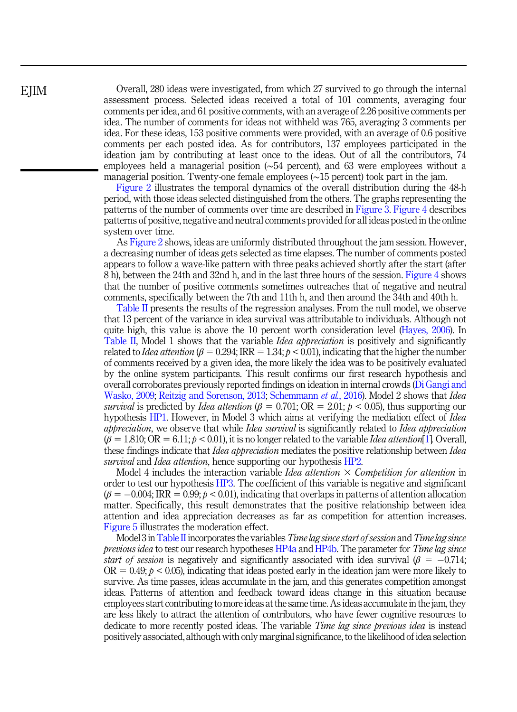Overall, 280 ideas were investigated, from which 27 survived to go through the internal assessment process. Selected ideas received a total of 101 comments, averaging four comments per idea, and 61 positive comments, with an average of 2.26 positive comments per idea. The number of comments for ideas not withheld was 765, averaging 3 comments per idea. For these ideas, 153 positive comments were provided, with an average of 0.6 positive comments per each posted idea. As for contributors, 137 employees participated in the ideation jam by contributing at least once to the ideas. Out of all the contributors, 74 employees held a managerial position (∼54 percent), and 63 were employees without a managerial position. Twenty-one female employees (∼15 percent) took part in the jam.

[Figure 2](#page-12-0) illustrates the temporal dynamics of the overall distribution during the 48-h period, with those ideas selected distinguished from the others. The graphs representing the patterns of the number of comments over time are described in [Figure 3](#page-12-0). [Figure 4](#page-12-0) describes patterns of positive, negative and neutral comments provided for all ideas posted in the online system over time.

As [Figure 2](#page-12-0) shows, ideas are uniformly distributed throughout the jam session. However, a decreasing number of ideas gets selected as time elapses. The number of comments posted appears to follow a wave-like pattern with three peaks achieved shortly after the start (after 8 h), between the 24th and 32nd h, and in the last three hours of the session. [Figure 4](#page-12-0) shows that the number of positive comments sometimes outreaches that of negative and neutral comments, specifically between the 7th and 11th h, and then around the 34th and 40th h.

[Table II](#page-13-0) presents the results of the regression analyses. From the null model, we observe that 13 percent of the variance in idea survival was attributable to individuals. Although not quite high, this value is above the 10 percent worth consideration level [\(Hayes, 2006\)](#page-20-0). In [Table II,](#page-13-0) Model 1 shows that the variable *Idea appreciation* is positively and significantly related to *Idea attention* ( $\beta = 0.294$ ; IRR = 1.34;  $p < 0.01$ ), indicating that the higher the number of comments received by a given idea, the more likely the idea was to be positively evaluated by the online system participants. This result confirms our first research hypothesis and overall corroborates previously reported findings on ideation in internal crowds [\(Di Gangi and](#page-19-0) [Wasko, 2009](#page-19-0); [Reitzig and Sorenson, 2013](#page-21-0); [Schemmann](#page-21-0) *et al.*, 2016). Model 2 shows that *Idea* survival is predicted by Idea attention ( $\beta = 0.701$ ; OR = 2.01;  $p < 0.05$ ), thus supporting our hypothesis [HP1.](#page-3-0) However, in Model 3 which aims at verifying the mediation effect of *Idea* appreciation, we observe that while Idea survival is significantly related to Idea appreciation  $(\beta = 1.810; \text{OR} = 6.11; p < 0.01)$ , it is no longer related to the variable Idea attention [[1\]](#page-18-0). Overall, these findings indicate that *Idea appreciation* mediates the positive relationship between *Idea* survival and *Idea attention*, hence supporting our hypothesis [HP2.](#page-4-0)

Model 4 includes the interaction variable *Idea attention*  $\times$  Competition for attention in order to test our hypothesis [HP3.](#page-5-0) The coefficient of this variable is negative and significant  $(\beta = -0.004; \text{IRR} = 0.99; p < 0.01)$ , indicating that overlaps in patterns of attention allocation matter. Specifically, this result demonstrates that the positive relationship between idea attention and idea appreciation decreases as far as competition for attention increases. [Figure 5](#page-14-0) illustrates the moderation effect.

Model 3 in [Table II](#page-13-0) incorporates the variables *Time lag since start of session* and *Time lag since* previous idea to test our research hypotheses [HP4a](#page-5-0) and [HP4b](#page-5-0). The parameter for Time lag since start of session is negatively and significantly associated with idea survival  $(\beta = -0.714;$  $OR = 0.49$ ;  $p < 0.05$ ), indicating that ideas posted early in the ideation jam were more likely to survive. As time passes, ideas accumulate in the jam, and this generates competition amongst ideas. Patterns of attention and feedback toward ideas change in this situation because employees start contributing to more ideas at the same time. As ideas accumulate in the jam, they are less likely to attract the attention of contributors, who have fewer cognitive resources to dedicate to more recently posted ideas. The variable *Time lag since previous idea* is instead positively associated, although with only marginal significance, to the likelihood of idea selection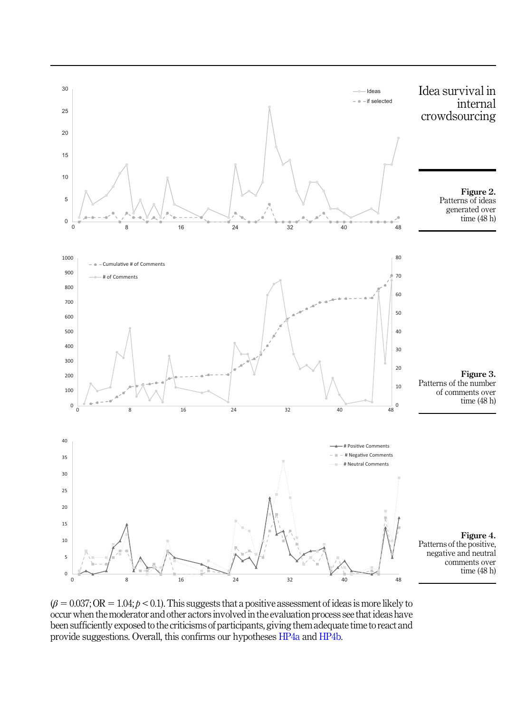<span id="page-12-0"></span>

 $(\beta = 0.037; \text{OR} = 1.04; p < 0.1)$ . This suggests that a positive assessment of ideas is more likely to occur when the moderator and other actors involved in the evaluation process see that ideas have been sufficiently exposed to the criticisms of participants, giving them adequate time to react and provide suggestions. Overall, this confirms our hypotheses [HP4a](#page-5-0) and [HP4b](#page-5-0).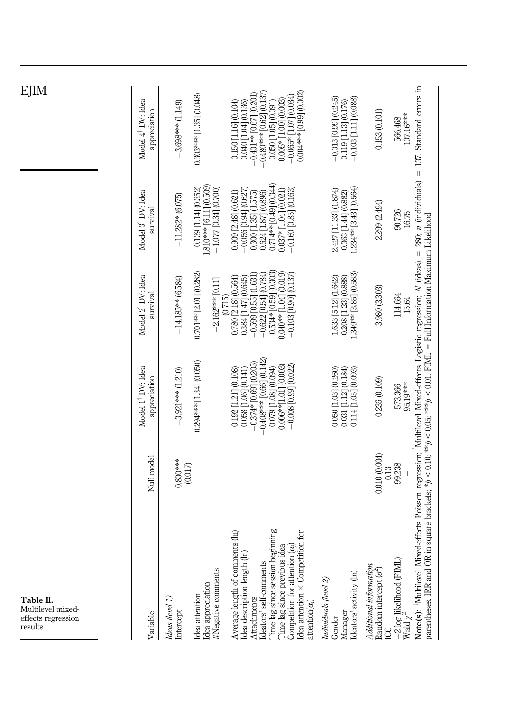<span id="page-13-0"></span>

| EJIM                                                            |                                               |                              |                                                                                 |                                                                                                                                                                                                                                                                                              |                                                                                                                  |                                                                                                             |                                                                                                                                                                                                           |
|-----------------------------------------------------------------|-----------------------------------------------|------------------------------|---------------------------------------------------------------------------------|----------------------------------------------------------------------------------------------------------------------------------------------------------------------------------------------------------------------------------------------------------------------------------------------|------------------------------------------------------------------------------------------------------------------|-------------------------------------------------------------------------------------------------------------|-----------------------------------------------------------------------------------------------------------------------------------------------------------------------------------------------------------|
|                                                                 | Model 4 <sup>†</sup> DV: Idea<br>appreciation | $-3.698***$ (1.149)          | $0.303***$ [1.35] $(0.048)$                                                     | $-0.004***$ [0.99] $(0.002)$<br>$-0.480***$ [0.62] (0.137)<br>$-0.401**$ [0.67] (0.201)<br>$-0.065*$ [1.07] $(0.034)$<br>$0.005*$ [1.00] $(0.003)$<br>$0.050$ [1.05] $(0.091)$<br>0.150 [1.16] (0.104)<br>(0.040 [1.04] (0.136)                                                              | $-0.013$ [0.99] (0.245)<br>$-0.103$ [1.11] $(0.088)$<br>0.119 [1.13] (0.176)                                     | 0.153(0.101)<br>566.468                                                                                     | 107.16***                                                                                                                                                                                                 |
|                                                                 | Model 3° DV: Idea<br>survival                 | $-11.282*$ (6.075)           | 1.810*** [6.11] (0.509)<br>$-1.077$ [0.34] (0.700)<br>$-0.139$ [1.14] $(0.352)$ | $0.714**$ [0.49] $(0.344)$<br>$-0.056$ $[0.94]$ $(0.627)$<br>$-0.160$ $[0.85]$ $(0.163)$<br>$0.037 * [1.04] (0.021)$<br>$0.300$ $[1.35]$ $(1.575)$<br>$0.624$ $[1.87]$ $(0.896)$<br>0.909 [2.48] (0.621)                                                                                     | 1.234** [3.43] (0.564)<br>2.427 [11.33] (1.874)<br>$0.363$ [1.44] $(0.882)$                                      | 2.299 (2.494)<br>90.726                                                                                     | 16.75                                                                                                                                                                                                     |
|                                                                 | Model 2° DV: Idea<br>survival                 | $-14.185**$ (6.584)          | $0.701**$ [2.01] $(0.282)$<br>$-2.162***$ [0.11]<br>(0.715)                     | $-0.534*$ [0.59] (0.303)<br>$-0.599$ $[0.55]$ $(1.631)$<br>0.040** [1.04] (0.019)<br>$-0.103$ [0.90] $(0.137)$<br>$-0.622$ [0.54] $(0.784)$<br>$\begin{array}{c} 0.780 \left[ 2.18 \right] \left( 0.564 \right) \\ 0.384 \left[ 1.47 \right] \left( 0.645 \right) \end{array}$               | .349** [3.85] (0.583)<br>$\begin{array}{c} 1.633 \; [5.12] \; (1.642) \\ 0.208 \; [1.23] \; (0.888) \end{array}$ | 3.980 (3.303)<br>114.664                                                                                    | 15.64                                                                                                                                                                                                     |
|                                                                 | Model 1 <sup>†</sup> DV: Idea<br>appreciation | $-3.921***$ (1.210)          | $0.294***$ [1.34] $(0.050)$                                                     | $-0.408***$ [0.66] (0.142)<br>$-0.374*$ [0.69] (0.205)<br>$0.006**$ [1.01] $(0.003)$<br>$-0.008$ [0.99] $(0.022)$<br>0.079 [1.08] (0.094)<br>0.058 [1.06] (0.141)<br>$0.192$ [1.21] $(0.108)$                                                                                                | $\begin{array}{c} 0.050\:[1.03]\:[0.260)\\ 0.031\:[1.12]\:[0.184)\\ 0.114\:[1.05]\:[0.093) \end{array}$          | 0.236(0.109)<br>573.366                                                                                     | square brackets; * $p < 0.10$ ; ** $p < 0.05$ ; *** $p < 0.01$ . FIML = Full Information Maximum Likelihood<br>95.19***                                                                                   |
|                                                                 | Null model                                    | $0.800***$                   | (0.017)                                                                         |                                                                                                                                                                                                                                                                                              |                                                                                                                  | 0.010(0.004)<br>99.238<br>0.13                                                                              |                                                                                                                                                                                                           |
| Table II.<br>Multilevel mixed-<br>effects regression<br>results | Variable                                      | Ideas (level 1)<br>Intercept | #Negative comments<br>Idea appreciation<br>Idea attention                       | Time lag since session beginning<br>Idea attention $\times$ Competition for<br>$ts($ ln $)$<br>Time lag since previous idea<br>Competition for attention $(\alpha_j)$<br>Average length of comment<br>Idea description length (ln)<br>Ideators' self-comments<br>Attachments<br>attention(a) | Ideators' activity (In)<br>Individuals (level 2)<br>Manager<br>Gender                                            | $-2\log$ likelihood (FIML)<br>Wald $\chi^2$<br>Additional information<br>Random intercept $(\sigma^2)$<br>g | Note(s): <sup>f</sup> Multilevel Mixed-effects Poisson regression; Multilevel Mixed-effects Logistic regression; N (ideas) = 280; n (individuals) = 137. Standard errors in<br>parentheses. IRR and OR in |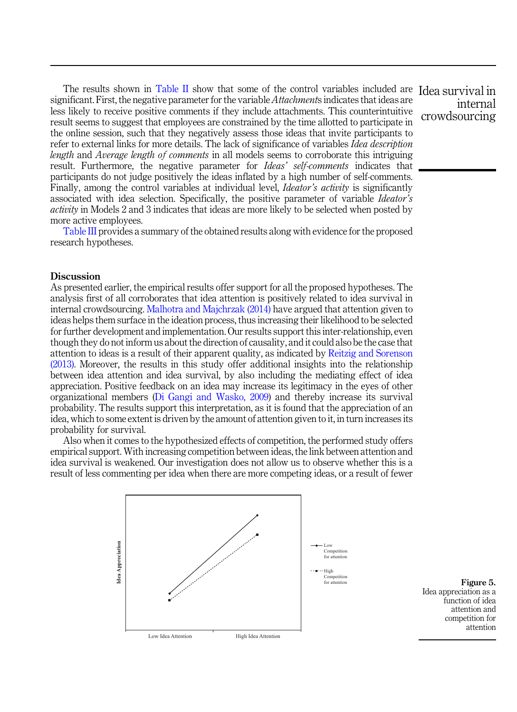<span id="page-14-0"></span>The results shown in [Table II](#page-13-0) show that some of the control variables included are Idea survival in significant. First, the negative parameter for the variable Attachments indicates that ideas are less likely to receive positive comments if they include attachments. This counterintuitive result seems to suggest that employees are constrained by the time allotted to participate in the online session, such that they negatively assess those ideas that invite participants to refer to external links for more details. The lack of significance of variables Idea description length and Average length of comments in all models seems to corroborate this intriguing result. Furthermore, the negative parameter for *Ideas' self-comments* indicates that participants do not judge positively the ideas inflated by a high number of self-comments. Finally, among the control variables at individual level, *Ideator's activity* is significantly associated with idea selection. Specifically, the positive parameter of variable Ideator's activity in Models 2 and 3 indicates that ideas are more likely to be selected when posted by more active employees.

[Table III](#page-15-0) provides a summary of the obtained results along with evidence for the proposed research hypotheses.

## **Discussion**

As presented earlier, the empirical results offer support for all the proposed hypotheses. The analysis first of all corroborates that idea attention is positively related to idea survival in internal crowdsourcing. [Malhotra and Majchrzak \(2014\)](#page-20-0) have argued that attention given to ideas helps them surface in the ideation process, thus increasing their likelihood to be selected for further development and implementation. Our results support this inter-relationship, even though they do not inform us about the direction of causality, and it could also be the case that attention to ideas is a result of their apparent quality, as indicated by [Reitzig and Sorenson](#page-21-0) [\(2013\).](#page-21-0) Moreover, the results in this study offer additional insights into the relationship between idea attention and idea survival, by also including the mediating effect of idea appreciation. Positive feedback on an idea may increase its legitimacy in the eyes of other organizational members ([Di Gangi and Wasko, 2009](#page-19-0)) and thereby increase its survival probability. The results support this interpretation, as it is found that the appreciation of an idea, which to some extent is driven by the amount of attention given to it, in turn increases its probability for survival.

Also when it comes to the hypothesized effects of competition, the performed study offers empirical support. With increasing competition between ideas, the link between attention and idea survival is weakened. Our investigation does not allow us to observe whether this is a result of less commenting per idea when there are more competing ideas, or a result of fewer



for attention **Figure 5.** Idea appreciation as a function of idea attention and competition for attention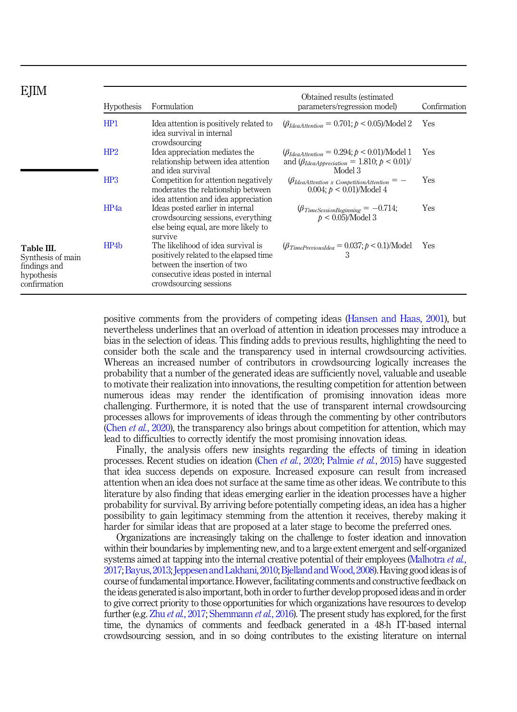# <span id="page-15-0"></span>**E***IIM*

| EJIM                                                                          | <b>Hypothesis</b> | Formulation                                                                                                                                                                    | Obtained results (estimated<br>parameters/regression model)                                                             | Confirmation |
|-------------------------------------------------------------------------------|-------------------|--------------------------------------------------------------------------------------------------------------------------------------------------------------------------------|-------------------------------------------------------------------------------------------------------------------------|--------------|
|                                                                               | HP1               | Idea attention is positively related to<br>idea survival in internal<br>crowdsourcing                                                                                          | $(\beta_{IdealAttention} = 0.701; p < 0.05)$ /Model 2                                                                   | Yes          |
|                                                                               | HP2               | Idea appreciation mediates the<br>relationship between idea attention<br>and idea survival                                                                                     | $(\beta_{IdealAttention} = 0.294; p < 0.01)$ /Model 1<br>and $(\beta_{IdeaApprecision} = 1.810; p < 0.01)$ /<br>Model 3 | Yes          |
|                                                                               | HP3               | Competition for attention negatively<br>moderates the relationship between<br>idea attention and idea appreciation                                                             | $\varphi_{IdeaAttention}$ x CompetitionAttention = -<br>0.004; $p < 0.01$ )/Model 4                                     | Yes          |
|                                                                               | HP <sub>4a</sub>  | Ideas posted earlier in internal<br>crowdsourcing sessions, everything<br>else being equal, are more likely to<br>survive                                                      | $\beta_{TimeSessionBeginning} = -0.714;$<br>$p < 0.05$ )/Model 3                                                        | <b>Yes</b>   |
| Table III.<br>Synthesis of main<br>findings and<br>hypothesis<br>confirmation | HP4b              | The likelihood of idea survival is<br>positively related to the elapsed time<br>between the insertion of two<br>consecutive ideas posted in internal<br>crowdsourcing sessions | $\langle \beta_{TimePrevious Idea} = 0.037; p < 0.1 \rangle$ /Model 3                                                   | Yes          |
|                                                                               |                   |                                                                                                                                                                                |                                                                                                                         |              |

positive comments from the providers of competing ideas [\(Hansen and Haas, 2001](#page-20-0)), but nevertheless underlines that an overload of attention in ideation processes may introduce a bias in the selection of ideas. This finding adds to previous results, highlighting the need to consider both the scale and the transparency used in internal crowdsourcing activities. Whereas an increased number of contributors in crowdsourcing logically increases the probability that a number of the generated ideas are sufficiently novel, valuable and useable to motivate their realization into innovations, the resulting competition for attention between numerous ideas may render the identification of promising innovation ideas more challenging. Furthermore, it is noted that the use of transparent internal crowdsourcing processes allows for improvements of ideas through the commenting by other contributors (Chen *et al.*[, 2020](#page-19-0)), the transparency also brings about competition for attention, which may lead to difficulties to correctly identify the most promising innovation ideas.

Finally, the analysis offers new insights regarding the effects of timing in ideation processes. Recent studies on ideation (Chen et al.[, 2020;](#page-19-0) [Palmie](#page-20-0) et al., 2015) have suggested that idea success depends on exposure. Increased exposure can result from increased attention when an idea does not surface at the same time as other ideas. We contribute to this literature by also finding that ideas emerging earlier in the ideation processes have a higher probability for survival. By arriving before potentially competing ideas, an idea has a higher possibility to gain legitimacy stemming from the attention it receives, thereby making it harder for similar ideas that are proposed at a later stage to become the preferred ones.

Organizations are increasingly taking on the challenge to foster ideation and innovation within their boundaries by implementing new, and to a large extent emergent and self-organized systems aimed at tapping into the internal creative potential of their employees [\(Malhotra](#page-20-0) *et al.*, [2017](#page-20-0); [Bayus, 2013;](#page-19-0) [Jeppesen and Lakhani, 2010](#page-20-0); Bjelland and Wood, 2008). Having good ideas is of course of fundamental importance. However, facilitating comments and constructive feedback on the ideas generated is also important, both in order to further develop proposed ideas and in order to give correct priority to those opportunities for which organizations have resources to develop further (e.g. Zhu et al.[, 2017](#page-21-0); [Shemmann](#page-21-0) et al., 2016). The present study has explored, for the first time, the dynamics of comments and feedback generated in a 48-h IT-based internal crowdsourcing session, and in so doing contributes to the existing literature on internal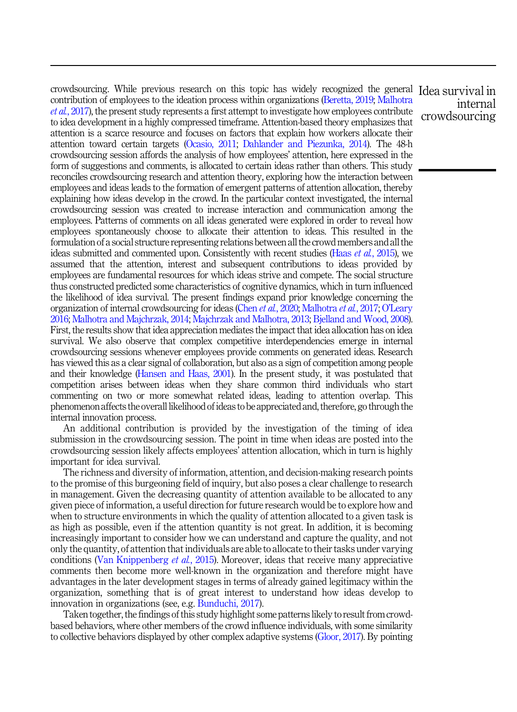crowdsourcing. While previous research on this topic has widely recognized the general Idea survival in contribution of employees to the ideation process within organizations [\(Beretta, 2019](#page-19-0); [Malhotra](#page-20-0) et al.[, 2017\)](#page-20-0), the present study represents a first attempt to investigate how employees contribute to idea development in a highly compressed timeframe. Attention-based theory emphasizes that attention is a scarce resource and focuses on factors that explain how workers allocate their attention toward certain targets ([Ocasio, 2011;](#page-20-0) [Dahlander and Piezunka, 2014](#page-19-0)). The 48-h crowdsourcing session affords the analysis of how employees' attention, here expressed in the form of suggestions and comments, is allocated to certain ideas rather than others. This study reconciles crowdsourcing research and attention theory, exploring how the interaction between employees and ideas leads to the formation of emergent patterns of attention allocation, thereby explaining how ideas develop in the crowd. In the particular context investigated, the internal crowdsourcing session was created to increase interaction and communication among the employees. Patterns of comments on all ideas generated were explored in order to reveal how employees spontaneously choose to allocate their attention to ideas. This resulted in the formulation of a social structure representing relations between all the crowd members and all the ideas submitted and commented upon. Consistently with recent studies (Haas et al.[, 2015\)](#page-20-0), we assumed that the attention, interest and subsequent contributions to ideas provided by employees are fundamental resources for which ideas strive and compete. The social structure thus constructed predicted some characteristics of cognitive dynamics, which in turn influenced the likelihood of idea survival. The present findings expand prior knowledge concerning the organization of internal crowdsourcing for ideas (Chen et al.[, 2020;](#page-19-0) [Malhotra](#page-20-0) et al., 2017; O'[Leary](#page-20-0) [2016](#page-20-0); [Malhotra and Majchrzak, 2014](#page-20-0); [Majchrzak and Malhotra, 2013](#page-20-0); [Bjelland and Wood, 2008\)](#page-19-0). First, the results show that idea appreciation mediates the impact that idea allocation has on idea survival. We also observe that complex competitive interdependencies emerge in internal crowdsourcing sessions whenever employees provide comments on generated ideas. Research has viewed this as a clear signal of collaboration, but also as a sign of competition among people and their knowledge [\(Hansen and Haas, 2001\)](#page-20-0). In the present study, it was postulated that competition arises between ideas when they share common third individuals who start commenting on two or more somewhat related ideas, leading to attention overlap. This phenomenon affects the overall likelihood of ideas to be appreciated and, therefore, go through the internal innovation process.

An additional contribution is provided by the investigation of the timing of idea submission in the crowdsourcing session. The point in time when ideas are posted into the crowdsourcing session likely affects employees' attention allocation, which in turn is highly important for idea survival.

The richness and diversity of information, attention, and decision-making research points to the promise of this burgeoning field of inquiry, but also poses a clear challenge to research in management. Given the decreasing quantity of attention available to be allocated to any given piece of information, a useful direction for future research would be to explore how and when to structure environments in which the quality of attention allocated to a given task is as high as possible, even if the attention quantity is not great. In addition, it is becoming increasingly important to consider how we can understand and capture the quality, and not only the quantity, of attention that individuals are able to allocate to their tasks under varying conditions ([Van Knippenberg](#page-21-0) *et al.*, 2015). Moreover, ideas that receive many appreciative comments then become more well-known in the organization and therefore might have advantages in the later development stages in terms of already gained legitimacy within the organization, something that is of great interest to understand how ideas develop to innovation in organizations (see, e.g. [Bunduchi, 2017\)](#page-19-0).

Taken together, the findings of this study highlight some patterns likely to result from crowdbased behaviors, where other members of the crowd influence individuals, with some similarity to collective behaviors displayed by other complex adaptive systems [\(Gloor, 2017](#page-20-0)). By pointing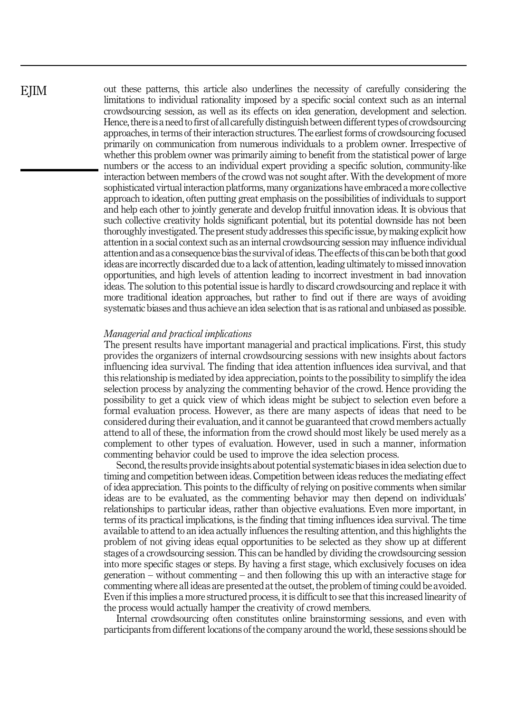out these patterns, this article also underlines the necessity of carefully considering the limitations to individual rationality imposed by a specific social context such as an internal crowdsourcing session, as well as its effects on idea generation, development and selection. Hence, there is a need to first of all carefully distinguish between different types of crowdsourcing approaches, in terms of their interaction structures. The earliest forms of crowdsourcing focused primarily on communication from numerous individuals to a problem owner. Irrespective of whether this problem owner was primarily aiming to benefit from the statistical power of large numbers or the access to an individual expert providing a specific solution, community-like interaction between members of the crowd was not sought after. With the development of more sophisticated virtual interaction platforms, many organizations have embraced a more collective approach to ideation, often putting great emphasis on the possibilities of individuals to support and help each other to jointly generate and develop fruitful innovation ideas. It is obvious that such collective creativity holds significant potential, but its potential downside has not been thoroughly investigated. The present study addresses this specific issue, by making explicit how attention in a social context such as an internal crowdsourcing session may influence individual attention and as a consequence bias the survival of ideas. The effects of this can be both that good ideas are incorrectly discarded due to a lack of attention, leading ultimately to missed innovation opportunities, and high levels of attention leading to incorrect investment in bad innovation ideas. The solution to this potential issue is hardly to discard crowdsourcing and replace it with more traditional ideation approaches, but rather to find out if there are ways of avoiding systematic biases and thus achieve an idea selection that is as rational and unbiased as possible.

#### Managerial and practical implications

The present results have important managerial and practical implications. First, this study provides the organizers of internal crowdsourcing sessions with new insights about factors influencing idea survival. The finding that idea attention influences idea survival, and that this relationship is mediated by idea appreciation, points to the possibility to simplify the idea selection process by analyzing the commenting behavior of the crowd. Hence providing the possibility to get a quick view of which ideas might be subject to selection even before a formal evaluation process. However, as there are many aspects of ideas that need to be considered during their evaluation, and it cannot be guaranteed that crowd members actually attend to all of these, the information from the crowd should most likely be used merely as a complement to other types of evaluation. However, used in such a manner, information commenting behavior could be used to improve the idea selection process.

Second, the results provide insights about potential systematic biases in idea selection due to timing and competition between ideas. Competition between ideas reduces the mediating effect of idea appreciation. This points to the difficulty of relying on positive comments when similar ideas are to be evaluated, as the commenting behavior may then depend on individuals' relationships to particular ideas, rather than objective evaluations. Even more important, in terms of its practical implications, is the finding that timing influences idea survival. The time available to attend to an idea actually influences the resulting attention, and this highlights the problem of not giving ideas equal opportunities to be selected as they show up at different stages of a crowdsourcing session. This can be handled by dividing the crowdsourcing session into more specific stages or steps. By having a first stage, which exclusively focuses on idea generation – without commenting – and then following this up with an interactive stage for commenting where all ideas are presented at the outset, the problem of timing could be avoided. Even if this implies a more structured process, it is difficult to see that this increased linearity of the process would actually hamper the creativity of crowd members.

Internal crowdsourcing often constitutes online brainstorming sessions, and even with participants from different locations of the company around the world, these sessions should be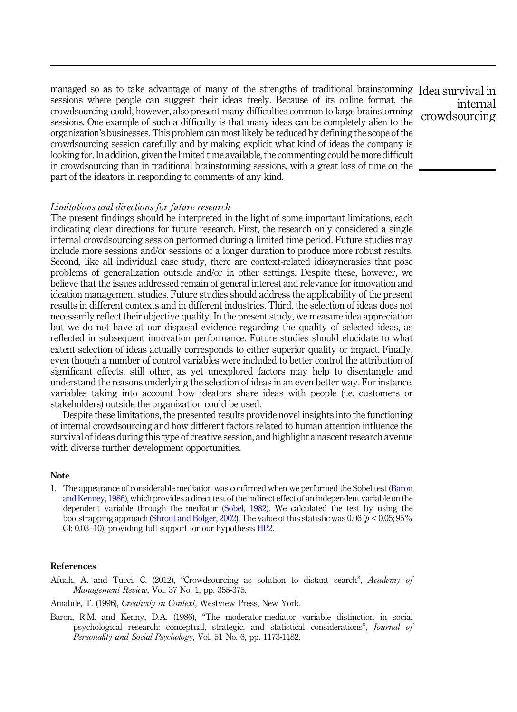<span id="page-18-0"></span>managed so as to take advantage of many of the strengths of traditional brainstorming Idea survival in sessions where people can suggest their ideas freely. Because of its online format, the crowdsourcing could, however, also present many difficulties common to large brainstorming sessions. One example of such a difficulty is that many ideas can be completely alien to the organization's businesses. This problem can most likely be reduced by defining the scope of the crowdsourcing session carefully and by making explicit what kind of ideas the company is looking for. In addition, given the limited time available, the commenting could be more difficult in crowdsourcing than in traditional brainstorming sessions, with a great loss of time on the part of the ideators in responding to comments of any kind.

## Limitations and directions for future research

The present findings should be interpreted in the light of some important limitations, each indicating clear directions for future research. First, the research only considered a single internal crowdsourcing session performed during a limited time period. Future studies may include more sessions and/or sessions of a longer duration to produce more robust results. Second, like all individual case study, there are context-related idiosyncrasies that pose problems of generalization outside and/or in other settings. Despite these, however, we believe that the issues addressed remain of general interest and relevance for innovation and ideation management studies. Future studies should address the applicability of the present results in different contexts and in different industries. Third, the selection of ideas does not necessarily reflect their objective quality. In the present study, we measure idea appreciation but we do not have at our disposal evidence regarding the quality of selected ideas, as reflected in subsequent innovation performance. Future studies should elucidate to what extent selection of ideas actually corresponds to either superior quality or impact. Finally, even though a number of control variables were included to better control the attribution of significant effects, still other, as yet unexplored factors may help to disentangle and understand the reasons underlying the selection of ideas in an even better way. For instance, variables taking into account how ideators share ideas with people (i.e. customers or stakeholders) outside the organization could be used.

Despite these limitations, the presented results provide novel insights into the functioning of internal crowdsourcing and how different factors related to human attention influence the survival of ideas during this type of creative session, and highlight a nascent research avenue with diverse further development opportunities.

### Note

1. The appearance of considerable mediation was confirmed when we performed the Sobel test (Baron and Kenney, 1986), which provides a direct test of the indirect effect of an independent variable on the dependent variable through the mediator [\(Sobel, 1982](#page-21-0)). We calculated the test by using the bootstrapping approach [\(Shrout and Bolger, 2002](#page-21-0)). The value of this statistic was 0.06 ( $p < 0.05$ ; 95% CI: 0.03–10), providing full support for our hypothesis [HP2](#page-4-0).

## References

Afuah, A. and Tucci, C. (2012), "Crowdsourcing as solution to distant search", Academy of Management Review, Vol. 37 No. 1, pp. 355-375.

Amabile, T. (1996), *Creativity in Context*, Westview Press, New York.

Baron, R.M. and Kenny, D.A. (1986), "The moderator-mediator variable distinction in social psychological research: conceptual, strategic, and statistical considerations", Journal of Personality and Social Psychology, Vol. 51 No. 6, pp. 1173-1182.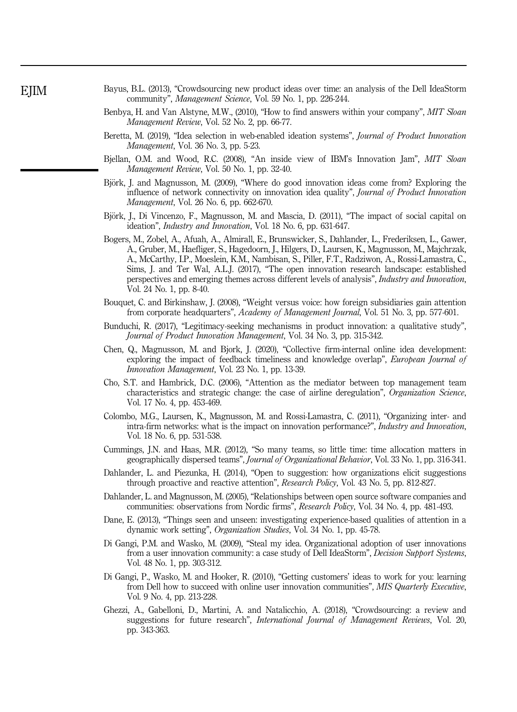- <span id="page-19-0"></span>Bayus, B.L. (2013), "Crowdsourcing new product ideas over time: an analysis of the Dell IdeaStorm community", Management Science, Vol. 59 No. 1, pp. 226-244.
- Benbya, H. and Van Alstyne, M.W., (2010), "How to find answers within your company", MIT Sloan Management Review, Vol. 52 No. 2, pp. 66-77.
- Beretta, M. (2019), "Idea selection in web-enabled ideation systems", Journal of Product Innovation Management, Vol. 36 No. 3, pp. 5-23.
- Bjellan, O.M. and Wood, R.C. (2008), "An inside view of IBM's Innovation Jam", MIT Sloan Management Review, Vol. 50 No. 1, pp. 32-40.
- Björk, J. and Magnusson, M. (2009), "Where do good innovation ideas come from? Exploring the influence of network connectivity on innovation idea quality", Journal of Product Innovation Management, Vol. 26 No. 6, pp. 662-670.
- Björk, J., Di Vincenzo, F., Magnusson, M. and Mascia, D. (2011), "The impact of social capital on ideation", Industry and Innovation, Vol. 18 No. 6, pp. 631-647.
- Bogers, M., Zobel, A., Afuah, A., Almirall, E., Brunswicker, S., Dahlander, L., Frederiksen, L., Gawer, A., Gruber, M., Haefliger, S., Hagedoorn, J., Hilgers, D., Laursen, K., Magnusson, M., Majchrzak, A., McCarthy, I.P., Moeslein, K.M., Nambisan, S., Piller, F.T., Radziwon, A., Rossi-Lamastra, C., Sims, J. and Ter Wal, A.L.J. (2017), "The open innovation research landscape: established perspectives and emerging themes across different levels of analysis", Industry and Innovation, Vol. 24 No. 1, pp. 8-40.
- Bouquet, C. and Birkinshaw, J. (2008), "Weight versus voice: how foreign subsidiaries gain attention from corporate headquarters", Academy of Management Journal, Vol. 51 No. 3, pp. 577-601.
- Bunduchi, R. (2017), "Legitimacy-seeking mechanisms in product innovation: a qualitative study", Journal of Product Innovation Management, Vol. 34 No. 3, pp. 315-342.
- Chen, Q., Magnusson, M. and Bjork, J. (2020), "Collective firm-internal online idea development: exploring the impact of feedback timeliness and knowledge overlap", *European Journal of* Innovation Management, Vol. 23 No. 1, pp. 13-39.
- Cho, S.T. and Hambrick, D.C. (2006), "Attention as the mediator between top management team characteristics and strategic change: the case of airline deregulation", Organization Science, Vol. 17 No. 4, pp. 453-469.
- Colombo, M.G., Laursen, K., Magnusson, M. and Rossi-Lamastra, C. (2011), "Organizing inter- and intra-firm networks: what is the impact on innovation performance?", Industry and Innovation, Vol. 18 No. 6, pp. 531-538.
- Cummings, J.N. and Haas, M.R. (2012), "So many teams, so little time: time allocation matters in geographically dispersed teams", Journal of Organizational Behavior, Vol. 33 No. 1, pp. 316-341.
- Dahlander, L. and Piezunka, H. (2014), "Open to suggestion: how organizations elicit suggestions through proactive and reactive attention", Research Policy, Vol. 43 No. 5, pp. 812-827.
- Dahlander, L. and Magnusson, M. (2005), "Relationships between open source software companies and communities: observations from Nordic firms", Research Policy, Vol. 34 No. 4, pp. 481-493.
- Dane, E. (2013), "Things seen and unseen: investigating experience-based qualities of attention in a dynamic work setting", Organization Studies, Vol. 34 No. 1, pp. 45-78.
- Di Gangi, P.M. and Wasko, M. (2009), "Steal my idea. Organizational adoption of user innovations from a user innovation community: a case study of Dell IdeaStorm", Decision Support Systems, Vol. 48 No. 1, pp. 303-312.
- Di Gangi, P., Wasko, M. and Hooker, R. (2010), "Getting customers' ideas to work for you: learning from Dell how to succeed with online user innovation communities", MIS Quarterly Executive, Vol. 9 No. 4, pp. 213-228.
- Ghezzi, A., Gabelloni, D., Martini, A. and Natalicchio, A. (2018), "Crowdsourcing: a review and suggestions for future research", International Journal of Management Reviews, Vol. 20, pp. 343-363.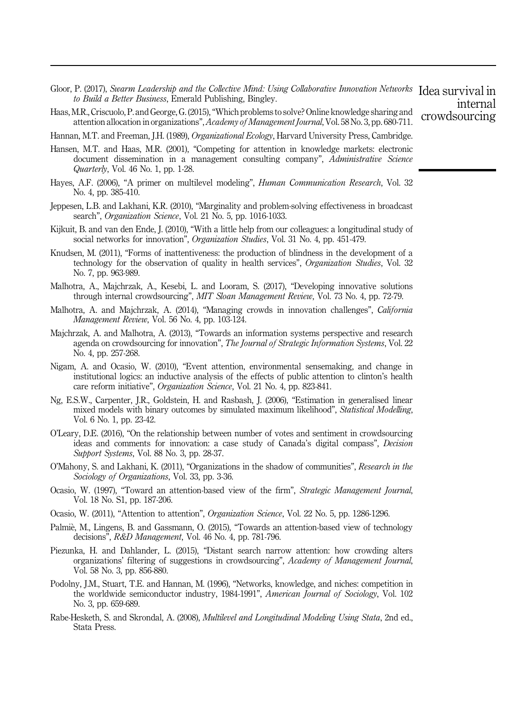<span id="page-20-0"></span>Gloor, P. (2017), Swarm Leadership and the Collective Mind: Using Collaborative Innovation Networks Idea survival in<br>the Puild a Petter Punisses Emergel Publishing Pingley to Build a Better Business, Emerald Publishing, Bingley. internal

crowdsourcing

Haas, M.R., Criscuolo, P. and George, G. (2015),"Which problems to solve? Online knowledge sharing and attention allocation in organizations",Academy of Management Journal, Vol. 58 No. 3, pp. 680-711.

Hannan, M.T. and Freeman, J.H. (1989), *Organizational Ecology*, Harvard University Press, Cambridge.

- Hansen, M.T. and Haas, M.R. (2001), "Competing for attention in knowledge markets: electronic document dissemination in a management consulting company", Administrative Science Quarterly, Vol. 46 No. 1, pp. 1-28.
- Hayes, A.F. (2006), "A primer on multilevel modeling", *Human Communication Research*, Vol. 32 No. 4, pp. 385-410.
- Jeppesen, L.B. and Lakhani, K.R. (2010), "Marginality and problem-solving effectiveness in broadcast search", Organization Science, Vol. 21 No. 5, pp. 1016-1033.
- Kijkuit, B. and van den Ende, J. (2010), "With a little help from our colleagues: a longitudinal study of social networks for innovation", Organization Studies, Vol. 31 No. 4, pp. 451-479.
- Knudsen, M. (2011), "Forms of inattentiveness: the production of blindness in the development of a technology for the observation of quality in health services", Organization Studies, Vol. 32 No. 7, pp. 963-989.
- Malhotra, A., Majchrzak, A., Kesebi, L. and Looram, S. (2017), "Developing innovative solutions through internal crowdsourcing", MIT Sloan Management Review, Vol. 73 No. 4, pp. 72-79.
- Malhotra, A. and Majchrzak, A. (2014), "Managing crowds in innovation challenges", California Management Review, Vol. 56 No. 4, pp. 103-124.
- Majchrzak, A. and Malhotra, A. (2013), "Towards an information systems perspective and research agenda on crowdsourcing for innovation", The Journal of Strategic Information Systems, Vol. 22 No. 4, pp. 257-268.
- Nigam, A. and Ocasio, W. (2010), "Event attention, environmental sensemaking, and change in institutional logics: an inductive analysis of the effects of public attention to clinton's health care reform initiative", Organization Science, Vol. 21 No. 4, pp. 823-841.
- Ng, E.S.W., Carpenter, J.R., Goldstein, H. and Rasbash, J. (2006), "Estimation in generalised linear mixed models with binary outcomes by simulated maximum likelihood", *Statistical Modelling*, Vol. 6 No. 1, pp. 23-42.
- O'Leary, D.E. (2016), "On the relationship between number of votes and sentiment in crowdsourcing ideas and comments for innovation: a case study of Canada's digital compass", Decision Support Systems, Vol. 88 No. 3, pp. 28-37.
- O'Mahony, S. and Lakhani, K. (2011), "Organizations in the shadow of communities", Research in the Sociology of Organizations, Vol. 33, pp. 3-36.
- Ocasio, W. (1997), "Toward an attention-based view of the firm", Strategic Management Journal, Vol. 18 No. S1, pp. 187-206.
- Ocasio, W. (2011), "Attention to attention", Organization Science, Vol. 22 No. 5, pp. 1286-1296.
- Palmiè, M., Lingens, B. and Gassmann, O. (2015), "Towards an attention-based view of technology decisions", R&D Management, Vol. 46 No. 4, pp. 781-796.
- Piezunka, H. and Dahlander, L. (2015), "Distant search narrow attention: how crowding alters organizations' filtering of suggestions in crowdsourcing", Academy of Management Journal, Vol. 58 No. 3, pp. 856-880.
- Podolny, J.M., Stuart, T.E. and Hannan, M. (1996), "Networks, knowledge, and niches: competition in the worldwide semiconductor industry, 1984-1991", American Journal of Sociology, Vol. 102 No. 3, pp. 659-689.
- Rabe-Hesketh, S. and Skrondal, A. (2008), Multilevel and Longitudinal Modeling Using Stata, 2nd ed., Stata Press.